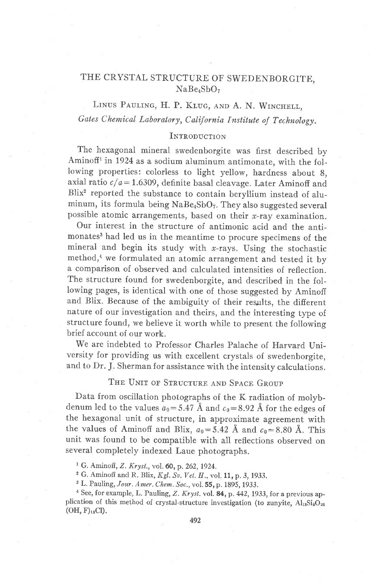# THE CRYSTAL STRUCTURE OF SWEDENBORGITE, NaBe<sub>4</sub>SbO<sub>7</sub>

LINUS PAULING, H. P. KLUG, AND A. N. WINCHELL, Gates Chemical Laboratory, California Institute of Technology.

## INTRODUCTION

The hexagonal mineral swedenborgite was first described by Aminoff<sup>1</sup> in 1924 as a sodium aluminum antimonate, with the following properties: colorless to light yellow, hardness about 8. axial ratio  $c/a = 1.6309$ , definite basal cleavage. Later Aminoff and Blix2 reported the substance to contain beryllium instead of aluminum, its formula being  $NaBe_4SbO_7$ . They also suggested several possible atomic arrangements, based on their  $x$ -ray examination.

Our interest in the structure of antimonic acid and the antimonates<sup>3</sup> had led us in the meantime to procure specimens of the mineral and begin its study with  $x$ -rays. Using the stochastic method,<sup>4</sup> we formulated an atomic arrangement and tested it by a comparison of observed and calculated intensities of reflection. The structure found for swedenborgite, and described in the following pages, is identical with one of those suggested by Aminoff and Blix. Because of the ambiguity of their results, the different nature of our investigation and theirs, and the interesting type of structure found, we believe it worth while to present the following brief account of our work.

We are indebted to Professor Charles Palache of Harvard University for providing us with excellent crystals of swedenborgite, and to Dr. J. Sherman for assistance with the intensity calculations.

# THE UNIT OF STRUCTURE AND SPACE GROUP

Data from oscillation photographs of the K radiation of molybdenum led to the values  $a_0$  = 5.47 Å and  $c_0$  = 8.92 Å for the edges of the hexagonal unit of structure, in approximate agreement with the values of Aminoff and Blix,  $a_0 = 5.42$  Å and  $c_0 = 8.80$  Å. This unit was found to be compatible with all reflections observed on several completely indexed Laue photographs.

<sup>1</sup> G. Aminoff, Z. Kryst., vol. 60, p. 262, 1924.

<sup>2</sup> G. Aminoff and R. Blix,  $Kgl.$  Sv. Vet. H., vol. 11, p. 3, 1933.

<sup>3</sup> L. Pauling, Jour. Amer. Chem. Soc., vol. 55, p. 1895, 1933.

 $4$  See, for example, L. Pauling, Z. Kryst. vol. 84, p. 442, 1933, for a previous application of this method of crystal-structure investigation (to zunyite,  $Al_{13}Si_{6}O_{20}$  $(OH, F)_{18}Cl$ ).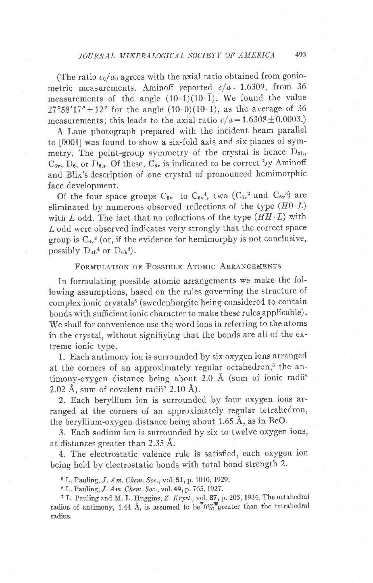(The ratio  $c_0/a_0$  agrees with the axial ratio obtained from goniometric measurements. Aminoff reported  $c/a = 1.6309$ , from 36 measurements of the angle  $(10.1)(10.\overline{1})$ . We found the value  $27^{\circ}58'17'' \pm 12''$  for the angle  $(10 \cdot 0)(10 \cdot 1)$ , as the average of 36 measurements; this leads to the axial ratio  $c/a = 1.6308 \pm 0.0003$ .)

A Laue photograph prepared with the incident beam parallel to [0001] was found to show a six-fold axis and six planes of symmetry. The point-group symmetry of the crystal is hence  $D_{3h}$ ,  $C_{6v}$ ,  $D_6$ , or  $D_{6h}$ . Of these,  $C_{6v}$  is indicated to be correct by Aminoff and Blix's description of one crystal of pronounced hemimorphic face development.

Of the four space groups  $C_{6v}^1$  to  $C_{6v}^4$ , two  $(C_{6v}^2$  and  $C_{6v}^3)$  are eliminated by numerous observed reflections of the type  $(H0L)$ with  $L$  odd. The fact that no reflections of the type  $(HH \cdot L)$  with Z odd were observed indicates very strongly that the correct space group is  $C_{6y}$ <sup>4</sup> (or, if the evidence for hemimorphy is not conclusive, possibly  $D_{3h}^4$  or  $D_{6h}^4$ .

# FORMULATION OF POSSIBLE ATOMIC ARRANGEMENTS

In formulating possible atomic arrangements we make the following assumptions, based on the rules governing the structure of complex ionic crystals<sup>5</sup> (swedenborgite being considered to contain bonds with sufficient ionic character to make these rules applicable). We shall for convenience use the word ions in referring to the atoms in the crystal, without signifiying that the bonds are all of the extreme ionic type.

1. Each antimony ion is surrounded by six oxygen ions arranged at the corners of an approximately regular octahedron,<sup>3</sup> the antimony-oxygen distance being about 2.0 Å (sum of ionic radii<sup>6</sup> 2.02 Å, sum of covalent radii<sup>7</sup> 2.10 Å).

2. Each beryllium ion is surrounded by four oxygen ions arranged at the corners of an approximately regular tetrahedron, the beryllium-oxygen distance being about 1.65 A, as in BeO.

3. Each sodium ion is surrounded by six to twelve oxygen ions, at distances greater than 2.35 A.

4. The electrostatic valence rule is satisfied, each oxygen ion being held by electrostatic bonds with total bond strength 2.

5 L. Pauling, J. Am. Chem. Soc., vol. 51, p. 1010, 1929.

6 L. Pauling, J. Am. Chen. Soc., vol.49, p. 765,1927.

7 L. Pauling and M. L. Huggins, Z. Kryst., vol. 87, p.205,1934. The octahedral radius of antimony, 1.44 Å, is assumed to be  $6\%$  greater than the tetrahedral radius.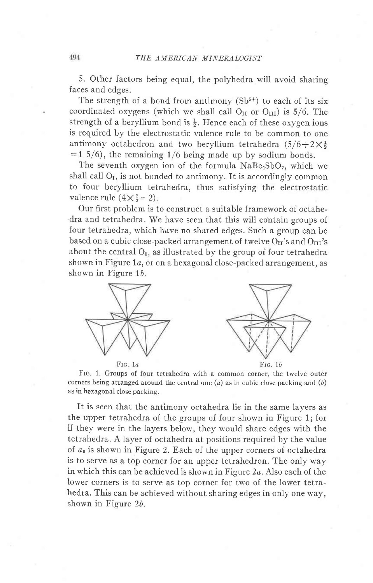5. Other factors being equal, the polyhedra will avoid sharing faces and edges.

The strength of a bond from antimony  $(Sb<sup>5+</sup>)$  to each of its six coordinated oxygens (which we shall call  $O<sub>II</sub>$  or  $O<sub>III</sub>$ ) is 5/6. The strength of a beryllium bond is  $\frac{1}{2}$ . Hence each of these oxygen ions is required by the electrostatic valence rule to be common to one antimony octahedron and two beryllium tetrahedra  $(5/6+2\times\frac{1}{2})$  $=1$  5/6), the remaining 1/6 being made up by sodium bonds.

The seventh oxygen ion of the formula  $NaBe<sub>4</sub>SbO<sub>7</sub>$ , which we shall call  $O_I$ , is not bonded to antimony. It is accordingly common to four beryllium tetrahedra, thus satisfying the electrostatic valence rule  $(4\times\frac{1}{2}-2)$ .

Our first problem is to construct a suitable framework of octahedra and tetrahedra. We have seen that this will contain groups of four tetrahedra, which have no shared edges. Such a group can be based on a cubic close-packed arrangement of twelve  $O<sub>II</sub>$ 's and  $O<sub>III</sub>$ 's about the central  $O<sub>I</sub>$ , as illustrated by the group of four tetrahedra shown in Figure  $1a$ , or on a hexagonal close-packed arrangement, as shown in Figure 1b.



Frc. 1. Groups of four tetrahedra with a common corner, the twelve outer corners being arranged around the central one  $(a)$  as in cubic close packing and  $(b)$ as in hexagonal close packing.

It is seen that the antimony octahedra lie in the same layers as the upper tetrahedra of the groups of four shown in Figure 1; for if they were in the layers below, they would share edges with the tetrahedra. A layer of octahedra at positions required by the value of  $a_0$  is shown in Figure 2. Each of the upper corners of octahedra is to serve as a top corner for an upper tetrahedron. The only way in which this can be achieved is shown in Figure 2a. Also each of the lower corners is to serve as top corner for two of the lower tetrahedra. This can be achieved without sharing edges in only one way, shown in Figure 26.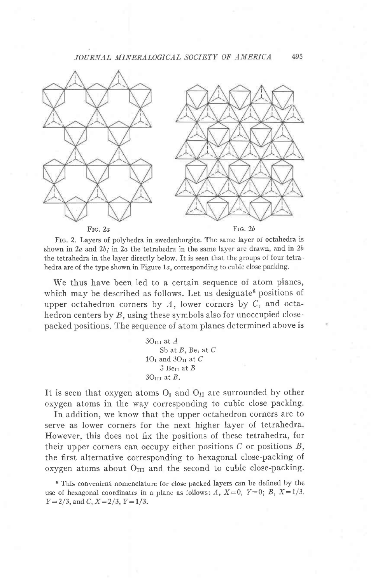

Frc. 2. Layers of polyhedra in swedenborgite. The same layer of octahedra is shown in  $2a$  and  $2b$ ; in  $2a$  the tetrahedra in the same layer are drawn, and in  $2b$ the tetrahedra in the layer directly below. It is seen that the groups of four tetrahedra are of the type shown in Figure  $1a$ , corresponding to cubic close packing.

We thus have been led to a certain sequence of atom planes, which may be described as follows. Let us designate<sup>8</sup> positions of upper octahedron corners by  $A$ , lower corners by  $C$ , and octahedron centers by  $B$ , using these symbols also for unoccupied closepacked positions. The sequence of atom planes determined above is

> $3O<sub>III</sub>$  at  $A$ Sb at  $B$ , Ber at  $C$  $1O<sub>I</sub>$  and  $3O<sub>II</sub>$  at  $C$  $3O<sub>III</sub>$  at B.  $3$  Be<sub>II</sub> at  $B$

It is seen that oxygen atoms  $O<sub>I</sub>$  and  $O<sub>II</sub>$  are surrounded by other oxygen atoms in the way corresponding to cubic close packing.

In addition, we know that the upper octahedron corners are to serve as lower corners for the next higher layer of tetrahedra. However, this does not fix the positions of these tetrahedra, for their upper corners can occupy either positions  $C$  or positions  $B$ , the first alternative corresponding to hexagonal close-packing of oxygen atoms about  $O_{III}$  and the second to cubic close-packing.

8 This convenient nomenclature for close-packed layers can be defined by the use of hexagonal coordinates in a plane as follows: A,  $X=0$ ,  $Y=0$ ; B,  $X=1/3$ ,  $Y=2/3$ , and C,  $X=2/3$ ,  $Y=1/3$ .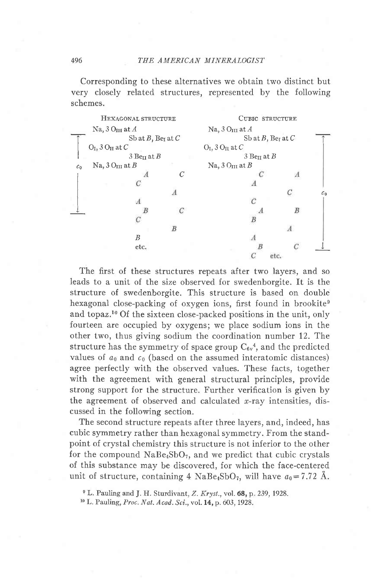Corresponding to these alternatives we obtain two distinct but very closely related structures, represented by the following schemes.

|                             | HEXAGONAL STRUCTURE       | CUBIC STRUCTURE                    |                             |      |                |
|-----------------------------|---------------------------|------------------------------------|-----------------------------|------|----------------|
| Na, $3Q_{III}$ at $A$       |                           |                                    | Na, $3Q_{III}$ at $A$       |      |                |
|                             | Sb at B, Ber at C         | Sb at $B$ , Be <sub>I</sub> at $C$ |                             |      |                |
|                             | $O_I$ , 3 $O_{II}$ at $C$ |                                    | $O_I$ , 3 $O_{II}$ at $C$   |      |                |
| $3$ Be <sub>II</sub> at $B$ |                           |                                    | $3$ Be <sub>II</sub> at $B$ |      |                |
| $c_{0}$                     | Na, $3Q_{III}$ at B       |                                    | Na, $3Q_{III}$ at B         |      |                |
|                             |                           | C                                  |                             |      |                |
|                             |                           |                                    |                             |      |                |
|                             |                           |                                    |                             |      | c <sub>0</sub> |
|                             | А                         |                                    | $\mathcal{C}$               |      |                |
|                             |                           |                                    |                             | B    |                |
|                             |                           |                                    |                             |      |                |
|                             |                           | B                                  |                             | А    |                |
|                             | B                         |                                    |                             |      |                |
|                             | etc.                      |                                    |                             |      |                |
|                             |                           |                                    |                             | etc. |                |
|                             |                           |                                    |                             |      |                |

The first of these structures repeats after two layers, and so leads to a unit of the size observed for swedenborgite. It is the structure of swedenborgite. This structure is based on double hexagonal close-packing of oxygen ions, first found in brookite<sup>9</sup> and topaz.<sup>10</sup> Of the sixteen close-packed positions in the unit, only fourteen are occupied by oxygens; we place sodium ions in the other two, thus giving sodium the coordination number 12. The structure has the symmetry of space group  $C_{6y}$ <sup>4</sup>, and the predicted values of  $a_0$  and  $c_0$  (based on the assumed interatomic distances) agree perfectly with the observed values. These facts, together with the agreement with general structural principles, provide strong support for the structure. Further verification is given by the agreement of observed and calculated  $x$ -ray intensities, discussed in the following section.

The second structure repeats after three layers, and, indeed, has cubic symmetry rather than hexagonal symmetry. From the standpoint of crystal chemistry this structure is not inferior to the other for the compound  $NaBe<sub>4</sub>SbO<sub>7</sub>$ , and we predict that cubic crystals of this substance may be discovered, for which the face-centered unit of structure, containing 4 NaBe<sub>4</sub>SbO<sub>7</sub>, will have  $a_0 = 7.72$  Å.

<sup>&</sup>lt;sup>9</sup> L. Pauling and J. H. Sturdivant, Z. Kryst., vol. 68, p. 239, 1928.

<sup>&</sup>lt;sup>10</sup> L. Pauling, Proc. Nat. Acad. Sci., vol. 14, p. 603, 1928.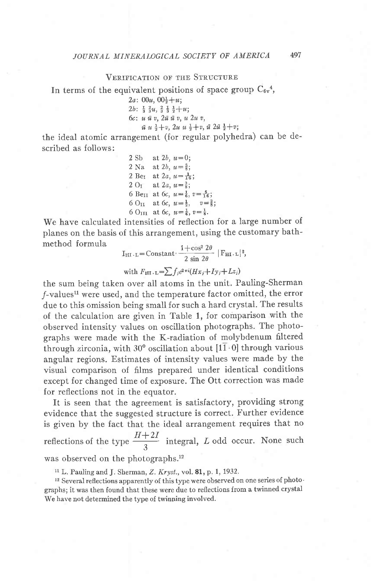#### VERIFICATION OF THE STRUCTURE

In terms of the equivalent positions of space group  $C_{6v}^4$ ,

 $2a: 00u, 00\frac{1}{2}+u;$  $2b: \frac{1}{3} \frac{2}{3}u, \frac{2}{3} \frac{1}{3} \frac{1}{2}+u;$  $6c: u \bar{u} v, 2\bar{u} \bar{u} v, u 2u v,$  $\bar{u}$  u  $\frac{1}{2}+v$ ,  $2u$  u  $\frac{1}{2}+v$ ,  $\bar{u}$   $2\bar{u}$   $\frac{1}{2}+v$ ;

the ideal atomic arrangement (for regular polyhedra) can be described as follows:

> 2 Sb at 2b,  $u=0$ ; 2 Na at 2b,  $u=\frac{5}{8}$ ; 2 Bet at 2a,  $u=\frac{1}{16}$ ;  $2 O_I$  at  $2a, u = \frac{3}{8}$ ; 6 Be<sub>II</sub> at 6c,  $u=\frac{1}{6}$ ,  $v=\frac{5}{16}$ ; 6 O<sub>II</sub> at 6c,  $u=\frac{1}{2}$ ,  $v=\frac{3}{8}$ ; 6 O<sub>III</sub> at 6c,  $u=\frac{1}{6}$ ,  $v=\frac{1}{8}$ .

We have calculated intensities of reflection for a large number of planes on the basis of this arrangement, using the customary bathmethod formula

$$
I_{\text{HI L}} = \text{Constant:} \frac{1 + \cos^2 2\theta}{2 \sin 2\theta} |F_{\text{HI L}}|^{2},
$$

with  $F_{\text{HI L}} = \sum f_i e^{2\pi i} (Hx_i + Iy_i + Lz_i)$ 

the sum being taken over all atoms in the unit. Pauling-Sherman /-valuesll were used, and the temperature factor omitted, the error due to this omission being small for such a hard crystal. The results of the calculation are given in Table 1, for comparison with the observed intensity values on oscillation photographs. The photographs were made with the K-radiation of molybdenum filtered through zirconia, with 30° oscillation about  $[1\overline{1} \cdot 0]$  through various angular regions. Estimates of intensity values were made by the visual comparison of fiIms prepared under identical conditions except for changed time of exposure. The Ott correction was made for reflections not in the equator.

It is seen that the agreement is satisfactory, providing strong evidence that the suggested structure is correct. Further evidence is given by the fact that the ideal arrangement requires that no reflections of the type  $\frac{H+2I}{3}$  integral, L odd occur. None such was observed on the photographs.<sup>12</sup>

 $11$  L. Pauling and J. Sherman, Z. Kryst., vol. 81, p. 1, 1932.

12 Several reflections apparently of this type were observed on one series of photo' graphs; it was then found that these were due to reflections from a twinned crystal We have not determined the type of twinning involved.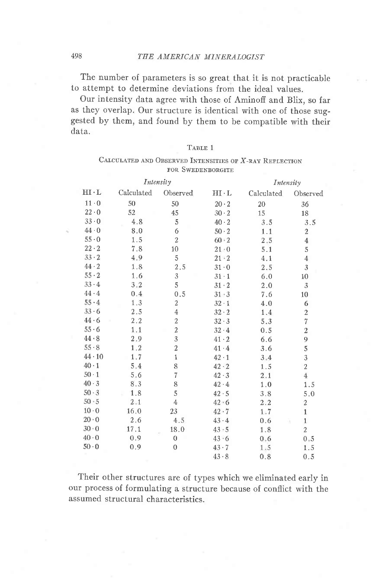The number of parameters is so great that it is not practicable to attempt to determine deviations from the ideal values.

Our intensity data agree with those of Aminoff and Blix, so far as they overlap. Our structure is identical with one of those suggested by them, and found by them to be compatible with their data.

|--|--|

# CALCULATED AND OBSERVED INTENSITIES OF  $X$ -RAY REFLECTION FOR SWEDENBORGITE

| Intensity     |            |                | Intensity    |            |                  |
|---------------|------------|----------------|--------------|------------|------------------|
| $HI \cdot L$  | Calculated | Observed       | $HI \cdot L$ | Calculated | Observed         |
| $11 \cdot 0$  | 50         | 50             | $20 \cdot 2$ | 20         | 36               |
| $22 \cdot 0$  | 52         | 45             | 30.2         | 15         | 18               |
| $33 \cdot 0$  | 4.8        | 5              | $40 \cdot 2$ | 3.5        | 3.5              |
| $44 \cdot 0$  | 8.0        | 6              | $50 \cdot 2$ | 1.1        | $\boldsymbol{2}$ |
| $55 \cdot 0$  | 1.5        | $\overline{c}$ | $60 - 2$     | 2.5        | $\overline{4}$   |
| $22 \cdot 2$  | 7.8        | 10             | 21:0         | 5.1        | 5                |
| $33 \cdot 2$  | 4.9        | 5              | $21 - 2$     | 4.1        | $\overline{4}$   |
| $44 \cdot 2$  | 1.8        | 2.5            | $31 \cdot 0$ | 2.5        | 3                |
| $55 \cdot 2$  | 1.6        | 3              | $31 \cdot 1$ | 6.0        | 10               |
| $33 \cdot 4$  | 3.2        | 5              | $31 \cdot 2$ | 2.0        | 3                |
| 44.4          | $0.4\,$    | 0.5            | 31 : 3       | 7.6        | 10               |
| 55.4          | 1.3        | $\mathbf{2}$   | $32 \cdot 1$ | 4.0        | 6                |
| 33.6          | 2.5        | 4              | $32 \cdot 2$ | 1.4        | $\overline{c}$   |
| 44.6          | 2.2        | $\overline{a}$ | 32.3         | 5.3        | $\overline{7}$   |
| 55.6          | 1.1        | $\overline{2}$ | $32 \cdot 4$ | 0.5        | $\overline{2}$   |
| 44.8          | 2.9        | 3              | $41 \cdot 2$ | 6.6        | 9                |
| $55 \cdot 8$  | 1.2        | $\overline{2}$ | $41 \cdot 4$ | 3.6        | 5                |
| $44 \cdot 10$ | 1.7        | $\mathbf{1}$   | $42 \cdot 1$ | 3.4        | 3                |
| $40 \cdot 1$  | 5.4        | 8              | $42 \cdot 2$ | 1.5        | $\overline{a}$   |
| $50-1$        | 5.6        | $\overline{7}$ | $42 \cdot 3$ | 2.1        | $\overline{4}$   |
| 40.3          | 8.3        | 8              | $42 \cdot 4$ | 1.0        | 1.5              |
| $50 \cdot 3$  | 1.8        | 5              | 42.5         | 3.8        | 5.0              |
| $50 - 5$      | 2.1        | $\overline{4}$ | $42 - 6$     | 2.2        | $\boldsymbol{2}$ |
| $10 \cdot 0$  | 16.0       | 23             | $42 \cdot 7$ | 1.7        | $\mathbf{1}$     |
| $20 \cdot 0$  | 2.6        | 4.5            | $43 - 4$     | 0.6        | $\mathbf{1}$     |
| $30 \cdot 0$  | 17.1       | 18.0           | $43 - 5$     | 1.8        | $\sqrt{2}$       |
| 40.0          | 0.9        | $\overline{0}$ | $43 - 6$     | 0, 6       | 0.5              |
| $50 \cdot 0$  | 0,9        | $\mathbf{0}$   | $43 \cdot 7$ | 1.5        | 1.5              |
|               |            |                | 43.8         | 0.8        | 0.5              |

Their other structures are of types which we eliminated early in our process of formulating a structure because of conflict with the assumed structural characteristics.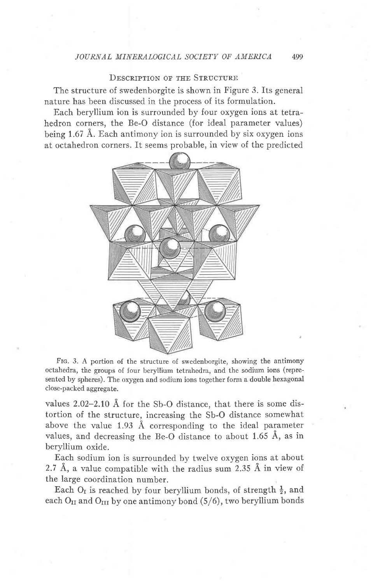# DESCRIPTION OF THE STRUCTURE

The structure of swedenborgite is shown in Figure 3. Its general nature has been discussed in the process of its formulation.

Each beryllium ion is surrounded by four oxygen ions at tetrahedron corners, the Be-O distance (for ideal parameter values) being 1.67 A. Each antimony ion is surrounded by six oxygen ions at octahedron corners. It seems probable, in view of the predicted



FIG. 3. A portion of the structure of swedenborgite, showing the antimony octahedra, the groups of four beryllium tetrahedra, and the sodium ions (represented by spheres). The oxygen and sodium ions together form a double hexagonal close-packed aggregate.

values 2.02-2.10 A for the Sb-O distance, that there is some distortion of the structure, increasing the Sb-O distance somewhat above the value 1.93 Å corresponding to the ideal parameter values, and decreasing the Be-O distance to about 1.65 A, as in beryllium oxide.

Each sodium ion is surrounded by twelve oxygen ions at about 2.7 A, a value compatible with the radius sum 2.35 A in view of the large coordination number.

Each O<sub>I</sub> is reached by four beryllium bonds, of strength  $\frac{1}{2}$ , and each  $O_{II}$  and  $O_{III}$  by one antimony bond (5/6), two beryllium bonds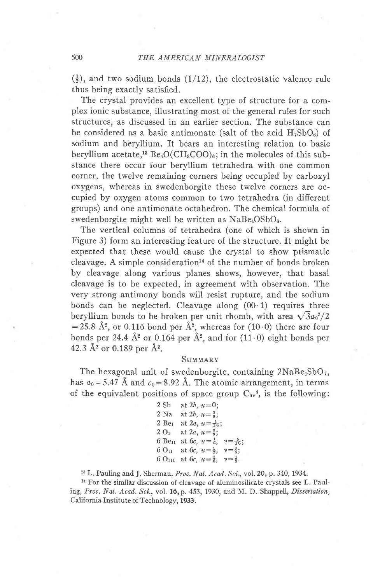$(\frac{1}{2})$ , and two sodium bonds (1/12), the electrostatic valence rule thus being exactly satisfied.

The crystal provides an excellent type of structure for a complex ionic substance, illustrating most of the general rules for such structures, as discussed in an earlier section. The substance can be considered as a basic antimonate (salt of the acid  $H_7SbO_6$ ) of sodium and beryllium. It bears an interesting relation to basic beryllium acetate,<sup>13</sup> Be<sub>4</sub>O(CH<sub>3</sub>COO)<sub>6</sub>; in the molecules of this substance there occur four beryllium tetrahedra with one common corner, the twelve remaining corners being occupied by carboxyl oxygens, whereas in swedenborgite these twelve corners are occupied by oxygen atoms common to two tetrahedra (in difierent groups) and one antimonate octahedron. The chemical formula of swedenborgite might well be written as  $NaBe<sub>4</sub>OSbO<sub>6</sub>$ .

The vertical columns of tetrahedra (one of which is shown in Figure 3) form an jnteresting feature of the structure. It might be expected that these would cause the crystal to show prismatic cleavage. A simple consideration<sup>14</sup> of the number of bonds broken by cleavage along various planes shows, however, that basal cleavage is to be expected, in agreement with observation. The very strong antimony bonds will resist rupture, and the sodium bonds can be neglected. Cleavage along  $(00.1)$  requires three beryllium bonds to be broken per unit rhomb, with area  $\sqrt{3}a_0^2/2$ = 25.8 Å<sup>2</sup>, or 0.116 bond per  $\AA$ <sup>2</sup>, whereas for (10 0) there are four bonds per 24.4  $\AA$ <sup>2</sup> or 0.164 per  $\AA$ <sup>2</sup>, and for (11.0) eight bonds per 42.3  $\AA$ <sup>2</sup> or 0.189 per  $\AA$ <sup>2</sup>.

#### **SUMMARY**

The hexagonal unit of swedenborgite, containing  $2NaBe<sub>4</sub>SbO<sub>7</sub>$ , has  $a_0$  = 5.47 Å and  $c_0$  = 8.92 Å. The atomic arrangement, in terms of the equivalent positions of space group  $C_{6v}$ <sup>4</sup>, is the following:

| 2Sb    | at 2 <i>b</i> , $u=0$ ;                              |                                                                |  |
|--------|------------------------------------------------------|----------------------------------------------------------------|--|
| $2$ Na | at 2b, $u = \frac{5}{8}$ ;                           |                                                                |  |
|        |                                                      | 2 Ber at 2a, $u = \frac{1}{16}$ ;                              |  |
|        | 2 O <sub>1</sub> at 2 <i>a</i> , $u = \frac{3}{8}$ ; |                                                                |  |
|        |                                                      | 6 Be <sub>II</sub> at 6c, $u=\frac{1}{6}$ , $v=\frac{5}{16}$ . |  |
|        |                                                      | 6 O <sub>II</sub> at 6c, $u=\frac{1}{2}$ , $v=\frac{3}{8}$ ;   |  |
|        |                                                      | 6 O <sub>III</sub> at 6c, $u=\frac{1}{6}$ , $v=\frac{1}{8}$ .  |  |

<sup>13</sup> L. Pauling and J. Sherman, *Proc. Nat. Acad. Sci*., vol. 20, p. 340, 1934.<br><sup>14</sup> For the similar discussion of cleavage of aluminosilicate crystals see L. Paul-

<sup>14</sup> For the similar discussion of cleavage of aluminosilicate crystals see L. Pauling, Proc. Nat. Acad. Sci., vol. 16, p. 453, 1930, and M. D. Shappell, Dissertation, California Institute of Technology, 1933.